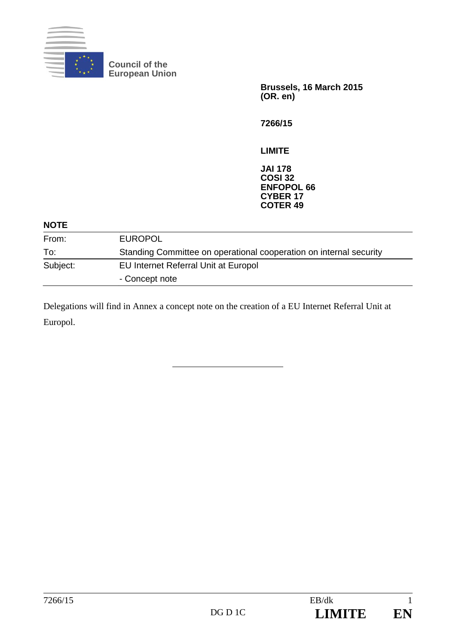

**Council of the European Union** 

> **Brussels, 16 March 2015 (OR. en)**

**7266/15** 

**LIMITE** 

**JAI 178 COSI 32 ENFOPOL 66 CYBER 17 COTER 49** 

#### **NOTE**

| <b>EUROPOL</b>                                                     |
|--------------------------------------------------------------------|
| Standing Committee on operational cooperation on internal security |
| EU Internet Referral Unit at Europol                               |
| - Concept note                                                     |
|                                                                    |

Delegations will find in Annex a concept note on the creation of a EU Internet Referral Unit at Europol.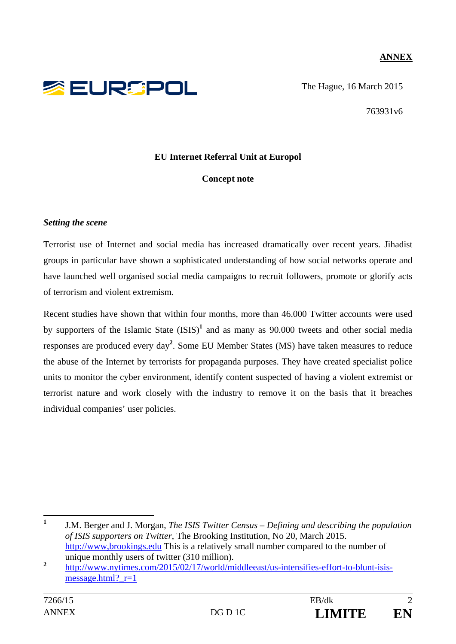## **ANNEX**



The Hague, 16 March 2015

763931v6

## **EU Internet Referral Unit at Europol**

### **Concept note**

#### *Setting the scene*

Terrorist use of Internet and social media has increased dramatically over recent years. Jihadist groups in particular have shown a sophisticated understanding of how social networks operate and have launched well organised social media campaigns to recruit followers, promote or glorify acts of terrorism and violent extremism.

Recent studies have shown that within four months, more than 46.000 Twitter accounts were used by supporters of the Islamic State (ISIS)**<sup>1</sup>** and as many as 90.000 tweets and other social media responses are produced every day**<sup>2</sup>** . Some EU Member States (MS) have taken measures to reduce the abuse of the Internet by terrorists for propaganda purposes. They have created specialist police units to monitor the cyber environment, identify content suspected of having a violent extremist or terrorist nature and work closely with the industry to remove it on the basis that it breaches individual companies' user policies.

 **1** J.M. Berger and J. Morgan, *The ISIS Twitter Census – Defining and describing the population of ISIS supporters on Twitter*, The Brooking Institution, No 20, March 2015. http://www,brookings.edu This is a relatively small number compared to the number of unique monthly users of twitter (310 million).

<sup>&</sup>lt;sup>2</sup> http://www.nytimes.com/2015/02/17/world/middleeast/us-intensifies-effort-to-blunt-isismessage.html? $r=1$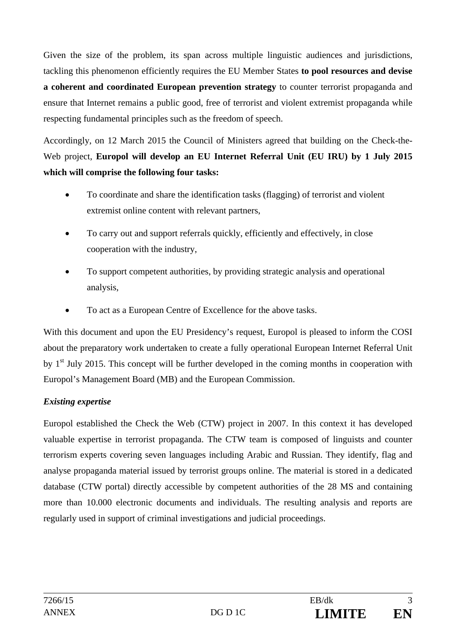Given the size of the problem, its span across multiple linguistic audiences and jurisdictions, tackling this phenomenon efficiently requires the EU Member States **to pool resources and devise a coherent and coordinated European prevention strategy** to counter terrorist propaganda and ensure that Internet remains a public good, free of terrorist and violent extremist propaganda while respecting fundamental principles such as the freedom of speech.

Accordingly, on 12 March 2015 the Council of Ministers agreed that building on the Check-the-Web project, **Europol will develop an EU Internet Referral Unit (EU IRU) by 1 July 2015 which will comprise the following four tasks:** 

- To coordinate and share the identification tasks (flagging) of terrorist and violent extremist online content with relevant partners,
- To carry out and support referrals quickly, efficiently and effectively, in close cooperation with the industry,
- To support competent authorities, by providing strategic analysis and operational analysis,
- To act as a European Centre of Excellence for the above tasks.

With this document and upon the EU Presidency's request, Europol is pleased to inform the COSI about the preparatory work undertaken to create a fully operational European Internet Referral Unit by  $1<sup>st</sup>$  July 2015. This concept will be further developed in the coming months in cooperation with Europol's Management Board (MB) and the European Commission.

# *Existing expertise*

Europol established the Check the Web (CTW) project in 2007. In this context it has developed valuable expertise in terrorist propaganda. The CTW team is composed of linguists and counter terrorism experts covering seven languages including Arabic and Russian. They identify, flag and analyse propaganda material issued by terrorist groups online. The material is stored in a dedicated database (CTW portal) directly accessible by competent authorities of the 28 MS and containing more than 10.000 electronic documents and individuals. The resulting analysis and reports are regularly used in support of criminal investigations and judicial proceedings.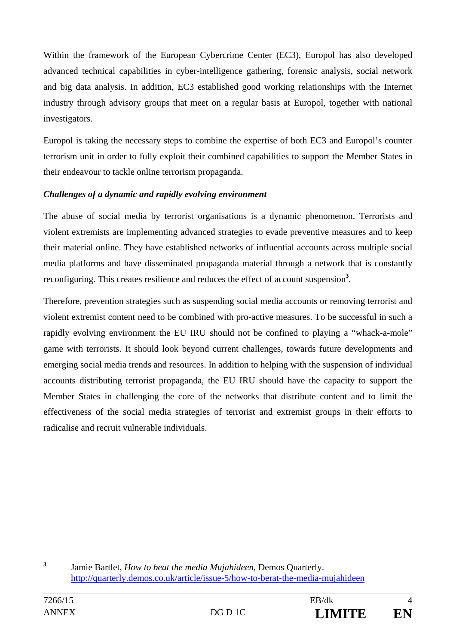Within the framework of the European Cybercrime Center (EC3), Europol has also developed advanced technical capabilities in cyber-intelligence gathering, forensic analysis, social network and big data analysis. In addition, EC3 established good working relationships with the Internet industry through advisory groups that meet on a regular basis at Europol, together with national investigators.

Europol is taking the necessary steps to combine the expertise of both EC3 and Europol's counter terrorism unit in order to fully exploit their combined capabilities to support the Member States in their endeavour to tackle online terrorism propaganda.

## *Challenges of a dynamic and rapidly evolving environment*

The abuse of social media by terrorist organisations is a dynamic phenomenon. Terrorists and violent extremists are implementing advanced strategies to evade preventive measures and to keep their material online. They have established networks of influential accounts across multiple social media platforms and have disseminated propaganda material through a network that is constantly reconfiguring. This creates resilience and reduces the effect of account suspension<sup>3</sup>.

Therefore, prevention strategies such as suspending social media accounts or removing terrorist and violent extremist content need to be combined with pro-active measures. To be successful in such a rapidly evolving environment the EU IRU should not be confined to playing a "whack-a-mole" game with terrorists. It should look beyond current challenges, towards future developments and emerging social media trends and resources. In addition to helping with the suspension of individual accounts distributing terrorist propaganda, the EU IRU should have the capacity to support the Member States in challenging the core of the networks that distribute content and to limit the effectiveness of the social media strategies of terrorist and extremist groups in their efforts to radicalise and recruit vulnerable individuals.

 **3** Jamie Bartlet, *How to beat the media Mujahideen*, Demos Quarterly. http://quarterly.demos.co.uk/article/issue-5/how-to-berat-the-media-mujahideen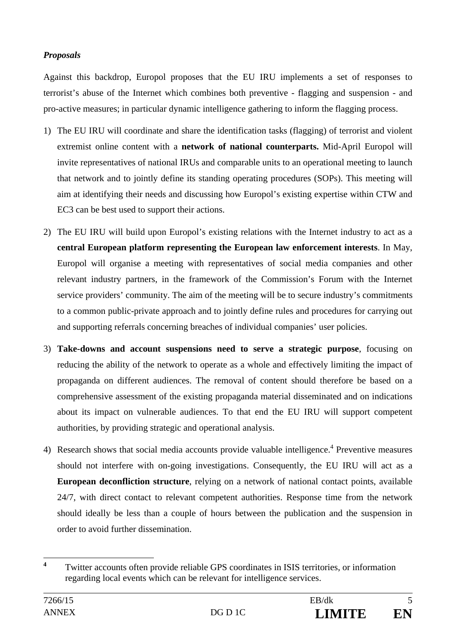# *Proposals*

Against this backdrop, Europol proposes that the EU IRU implements a set of responses to terrorist's abuse of the Internet which combines both preventive - flagging and suspension - and pro-active measures; in particular dynamic intelligence gathering to inform the flagging process.

- 1) The EU IRU will coordinate and share the identification tasks (flagging) of terrorist and violent extremist online content with a **network of national counterparts.** Mid-April Europol will invite representatives of national IRUs and comparable units to an operational meeting to launch that network and to jointly define its standing operating procedures (SOPs). This meeting will aim at identifying their needs and discussing how Europol's existing expertise within CTW and EC3 can be best used to support their actions.
- 2) The EU IRU will build upon Europol's existing relations with the Internet industry to act as a **central European platform representing the European law enforcement interests**. In May, Europol will organise a meeting with representatives of social media companies and other relevant industry partners, in the framework of the Commission's Forum with the Internet service providers' community. The aim of the meeting will be to secure industry's commitments to a common public-private approach and to jointly define rules and procedures for carrying out and supporting referrals concerning breaches of individual companies' user policies.
- 3) **Take-downs and account suspensions need to serve a strategic purpose**, focusing on reducing the ability of the network to operate as a whole and effectively limiting the impact of propaganda on different audiences. The removal of content should therefore be based on a comprehensive assessment of the existing propaganda material disseminated and on indications about its impact on vulnerable audiences. To that end the EU IRU will support competent authorities, by providing strategic and operational analysis.
- 4) Research shows that social media accounts provide valuable intelligence.<sup>4</sup> Preventive measures should not interfere with on-going investigations. Consequently, the EU IRU will act as a **European deconfliction structure**, relying on a network of national contact points, available 24/7, with direct contact to relevant competent authorities. Response time from the network should ideally be less than a couple of hours between the publication and the suspension in order to avoid further dissemination.

 **4** Twitter accounts often provide reliable GPS coordinates in ISIS territories, or information regarding local events which can be relevant for intelligence services.